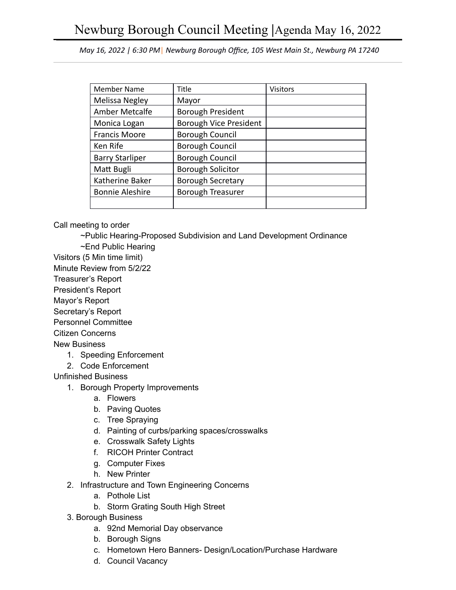*May 16, 2022 | 6:30 PM* | *Newburg Borough Office, 105 West Main St., Newburg PA 17240* 

| <b>Member Name</b>     | Title                    | <b>Visitors</b> |
|------------------------|--------------------------|-----------------|
| Melissa Negley         | Mayor                    |                 |
| <b>Amber Metcalfe</b>  | <b>Borough President</b> |                 |
| Monica Logan           | Borough Vice President   |                 |
| <b>Francis Moore</b>   | <b>Borough Council</b>   |                 |
| Ken Rife               | <b>Borough Council</b>   |                 |
| <b>Barry Starliper</b> | <b>Borough Council</b>   |                 |
| Matt Bugli             | <b>Borough Solicitor</b> |                 |
| Katherine Baker        | <b>Borough Secretary</b> |                 |
| <b>Bonnie Aleshire</b> | <b>Borough Treasurer</b> |                 |
|                        |                          |                 |

Call meeting to order

- ~Public Hearing-Proposed Subdivision and Land Development Ordinance
- ~End Public Hearing
- Visitors (5 Min time limit)
- Minute Review from 5/2/22
- Treasurer's Report
- President's Report
- Mayor's Report
- Secretary's Report
- Personnel Committee
- Citizen Concerns

New Business

- 1. Speeding Enforcement
- 2. Code Enforcement

Unfinished Business

- 1. Borough Property Improvements
	- a. Flowers
	- b. Paving Quotes
	- c. Tree Spraying
	- d. Painting of curbs/parking spaces/crosswalks
	- e. Crosswalk Safety Lights
	- f. RICOH Printer Contract
	- g. Computer Fixes
	- h. New Printer
- 2. Infrastructure and Town Engineering Concerns
	- a. Pothole List
	- b. Storm Grating South High Street
- 3. Borough Business
	- a. 92nd Memorial Day observance
	- b. Borough Signs
	- c. Hometown Hero Banners- Design/Location/Purchase Hardware
	- d. Council Vacancy